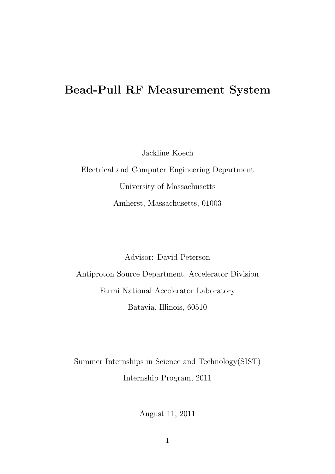# Bead-Pull RF Measurement System

Jackline Koech

Electrical and Computer Engineering Department University of Massachusetts Amherst, Massachusetts, 01003

Advisor: David Peterson Antiproton Source Department, Accelerator Division Fermi National Accelerator Laboratory Batavia, Illinois, 60510

Summer Internships in Science and Technology(SIST) Internship Program, 2011

August 11, 2011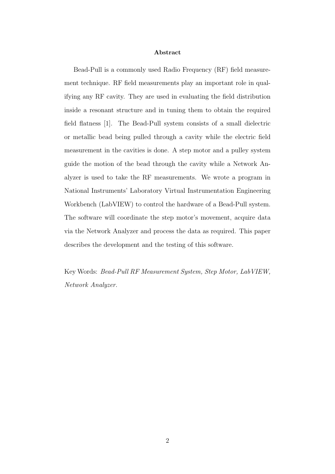#### Abstract

Bead-Pull is a commonly used Radio Frequency (RF) field measurement technique. RF field measurements play an important role in qualifying any RF cavity. They are used in evaluating the field distribution inside a resonant structure and in tuning them to obtain the required field flatness [1]. The Bead-Pull system consists of a small dielectric or metallic bead being pulled through a cavity while the electric field measurement in the cavities is done. A step motor and a pulley system guide the motion of the bead through the cavity while a Network Analyzer is used to take the RF measurements. We wrote a program in National Instruments' Laboratory Virtual Instrumentation Engineering Workbench (LabVIEW) to control the hardware of a Bead-Pull system. The software will coordinate the step motor's movement, acquire data via the Network Analyzer and process the data as required. This paper describes the development and the testing of this software.

Key Words: Bead-Pull RF Measurement System, Step Motor, LabVIEW, Network Analyzer.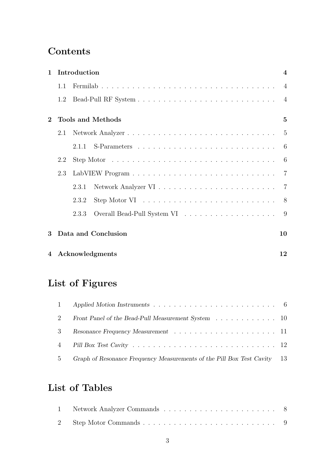# Contents

| $\mathbf{1}$   |     | Introduction<br>$\overline{\mathbf{4}}$ |                                                                                                        |                |
|----------------|-----|-----------------------------------------|--------------------------------------------------------------------------------------------------------|----------------|
|                | 1.1 |                                         |                                                                                                        |                |
|                | 1.2 |                                         |                                                                                                        | $\overline{4}$ |
| $\overline{2}$ |     |                                         | <b>Tools and Methods</b>                                                                               | $\mathbf{5}$   |
|                | 2.1 |                                         |                                                                                                        |                |
|                |     |                                         |                                                                                                        | 6              |
|                | 2.2 |                                         | Step Motor $\dots \dots \dots \dots \dots \dots \dots \dots \dots \dots \dots \dots \dots \dots \dots$ |                |
|                | 2.3 |                                         |                                                                                                        | $\overline{7}$ |
|                |     | 2.3.1                                   |                                                                                                        |                |
|                |     | 2.3.2                                   |                                                                                                        |                |
|                |     | 2.3.3                                   |                                                                                                        |                |
| 3              |     |                                         | Data and Conclusion                                                                                    | 10             |
| $\overline{4}$ |     |                                         | Acknowledgments                                                                                        | 12             |

# List of Figures

| 2              | Front Panel of the Bead-Pull Measurement System 10                       |  |
|----------------|--------------------------------------------------------------------------|--|
|                |                                                                          |  |
|                |                                                                          |  |
| 5 <sub>1</sub> | Graph of Resonance Frequency Measurements of the Pill Box Test Cavity 13 |  |

# List of Tables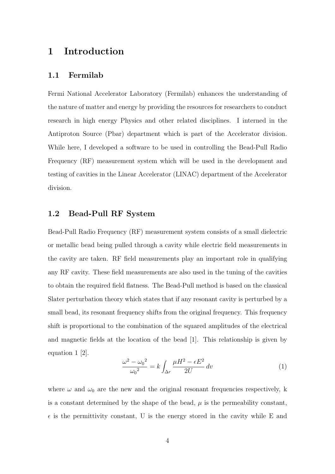## 1 Introduction

### 1.1 Fermilab

Fermi National Accelerator Laboratory (Fermilab) enhances the understanding of the nature of matter and energy by providing the resources for researchers to conduct research in high energy Physics and other related disciplines. I interned in the Antiproton Source (Pbar) department which is part of the Accelerator division. While here, I developed a software to be used in controlling the Bead-Pull Radio Frequency (RF) measurement system which will be used in the development and testing of cavities in the Linear Accelerator (LINAC) department of the Accelerator division.

### 1.2 Bead-Pull RF System

Bead-Pull Radio Frequency (RF) measurement system consists of a small dielectric or metallic bead being pulled through a cavity while electric field measurements in the cavity are taken. RF field measurements play an important role in qualifying any RF cavity. These field measurements are also used in the tuning of the cavities to obtain the required field flatness. The Bead-Pull method is based on the classical Slater perturbation theory which states that if any resonant cavity is perturbed by a small bead, its resonant frequency shifts from the original frequency. This frequency shift is proportional to the combination of the squared amplitudes of the electrical and magnetic fields at the location of the bead [1]. This relationship is given by equation 1 [2].

$$
\frac{\omega^2 - {\omega_0}^2}{\omega_0^2} = k \int_{\Delta r} \frac{\mu H^2 - \epsilon E^2}{2U} dv \tag{1}
$$

where  $\omega$  and  $\omega_0$  are the new and the original resonant frequencies respectively, k is a constant determined by the shape of the bead,  $\mu$  is the permeability constant,  $\epsilon$  is the permittivity constant, U is the energy stored in the cavity while E and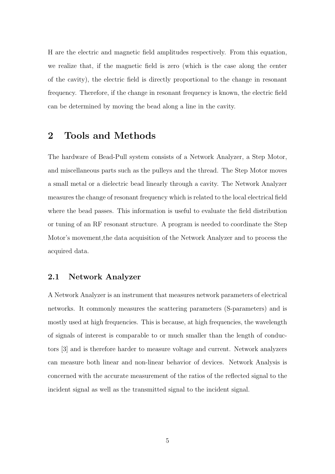H are the electric and magnetic field amplitudes respectively. From this equation, we realize that, if the magnetic field is zero (which is the case along the center of the cavity), the electric field is directly proportional to the change in resonant frequency. Therefore, if the change in resonant frequency is known, the electric field can be determined by moving the bead along a line in the cavity.

## 2 Tools and Methods

The hardware of Bead-Pull system consists of a Network Analyzer, a Step Motor, and miscellaneous parts such as the pulleys and the thread. The Step Motor moves a small metal or a dielectric bead linearly through a cavity. The Network Analyzer measures the change of resonant frequency which is related to the local electrical field where the bead passes. This information is useful to evaluate the field distribution or tuning of an RF resonant structure. A program is needed to coordinate the Step Motor's movement,the data acquisition of the Network Analyzer and to process the acquired data.

## 2.1 Network Analyzer

A Network Analyzer is an instrument that measures network parameters of electrical networks. It commonly measures the scattering parameters (S-parameters) and is mostly used at high frequencies. This is because, at high frequencies, the wavelength of signals of interest is comparable to or much smaller than the length of conductors [3] and is therefore harder to measure voltage and current. Network analyzers can measure both linear and non-linear behavior of devices. Network Analysis is concerned with the accurate measurement of the ratios of the reflected signal to the incident signal as well as the transmitted signal to the incident signal.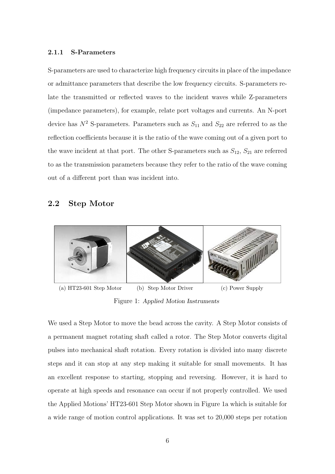#### 2.1.1 S-Parameters

S-parameters are used to characterize high frequency circuits in place of the impedance or admittance parameters that describe the low frequency circuits. S-parameters relate the transmitted or reflected waves to the incident waves while Z-parameters (impedance parameters), for example, relate port voltages and currents. An N-port device has  $N^2$  S-parameters. Parameters such as  $S_{11}$  and  $S_{22}$  are referred to as the reflection coefficients because it is the ratio of the wave coming out of a given port to the wave incident at that port. The other S-parameters such as  $S_{12}$ ,  $S_{21}$  are referred to as the transmission parameters because they refer to the ratio of the wave coming out of a different port than was incident into.

## 2.2 Step Motor



Figure 1: Applied Motion Instruments

We used a Step Motor to move the bead across the cavity. A Step Motor consists of a permanent magnet rotating shaft called a rotor. The Step Motor converts digital pulses into mechanical shaft rotation. Every rotation is divided into many discrete steps and it can stop at any step making it suitable for small movements. It has an excellent response to starting, stopping and reversing. However, it is hard to operate at high speeds and resonance can occur if not properly controlled. We used the Applied Motions' HT23-601 Step Motor shown in Figure 1a which is suitable for a wide range of motion control applications. It was set to 20,000 steps per rotation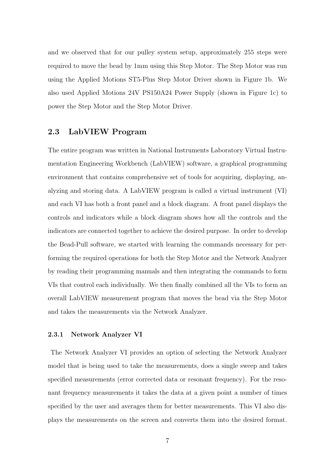and we observed that for our pulley system setup, approximately 255 steps were required to move the bead by 1mm using this Step Motor. The Step Motor was run using the Applied Motions ST5-Plus Step Motor Driver shown in Figure 1b. We also used Applied Motions 24V PS150A24 Power Supply (shown in Figure 1c) to power the Step Motor and the Step Motor Driver.

### 2.3 LabVIEW Program

The entire program was written in National Instruments Laboratory Virtual Instrumentation Engineering Workbench (LabVIEW) software, a graphical programming environment that contains comprehensive set of tools for acquiring, displaying, analyzing and storing data. A LabVIEW program is called a virtual instrument (VI) and each VI has both a front panel and a block diagram. A front panel displays the controls and indicators while a block diagram shows how all the controls and the indicators are connected together to achieve the desired purpose. In order to develop the Bead-Pull software, we started with learning the commands necessary for performing the required operations for both the Step Motor and the Network Analyzer by reading their programming manuals and then integrating the commands to form VIs that control each individually. We then finally combined all the VIs to form an overall LabVIEW measurement program that moves the bead via the Step Motor and takes the measurements via the Network Analyzer.

#### 2.3.1 Network Analyzer VI

The Network Analyzer VI provides an option of selecting the Network Analyzer model that is being used to take the measurements, does a single sweep and takes specified measurements (error corrected data or resonant frequency). For the resonant frequency measurements it takes the data at a given point a number of times specified by the user and averages them for better measurements. This VI also displays the measurements on the screen and converts them into the desired format.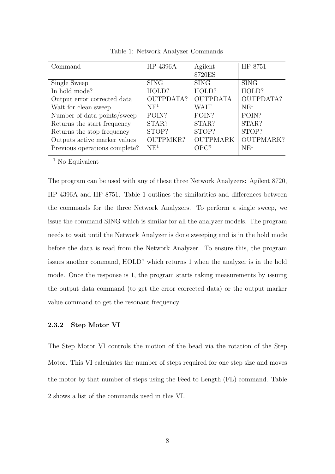| Command                       | HP 4396A         | Agilent         | HP 8751          |
|-------------------------------|------------------|-----------------|------------------|
|                               |                  | 8720ES          |                  |
| Single Sweep                  | <b>SING</b>      | <b>SING</b>     | <b>SING</b>      |
| In hold mode?                 | HOLD?            | HOLD?           | HOLD?            |
| Output error corrected data   | <b>OUTPDATA?</b> | <b>OUTPDATA</b> | <b>OUTPDATA?</b> |
| Wait for clean sweep          | NE <sup>1</sup>  | <b>WAIT</b>     | NE <sup>1</sup>  |
| Number of data points/sweep   | POIN?            | POIN?           | POIN?            |
| Returns the start frequency   | STAR?            | STAR?           | STAR?            |
| Returns the stop frequency    | STOP?            | STOP?           | STOP?            |
| Outputs active marker values  | <b>OUTPMKR?</b>  | <b>OUTPMARK</b> | OUTPMARK?        |
| Previous operations complete? | NE <sup>1</sup>  | OPC?            | NE <sup>1</sup>  |

Table 1: Network Analyzer Commands

 $<sup>1</sup>$  No Equivalent</sup>

The program can be used with any of these three Network Analyzers: Agilent 8720, HP 4396A and HP 8751. Table 1 outlines the similarities and differences between the commands for the three Network Analyzers. To perform a single sweep, we issue the command SING which is similar for all the analyzer models. The program needs to wait until the Network Analyzer is done sweeping and is in the hold mode before the data is read from the Network Analyzer. To ensure this, the program issues another command, HOLD? which returns 1 when the analyzer is in the hold mode. Once the response is 1, the program starts taking measurements by issuing the output data command (to get the error corrected data) or the output marker value command to get the resonant frequency.

### 2.3.2 Step Motor VI

The Step Motor VI controls the motion of the bead via the rotation of the Step Motor. This VI calculates the number of steps required for one step size and moves the motor by that number of steps using the Feed to Length (FL) command. Table 2 shows a list of the commands used in this VI.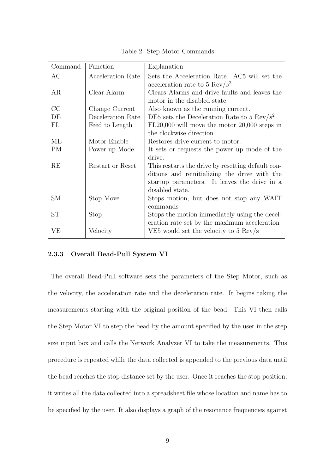|  |  |  | Table 2: Step Motor Commands |
|--|--|--|------------------------------|
|--|--|--|------------------------------|

| Command   | Function          | Explanation                                       |
|-----------|-------------------|---------------------------------------------------|
| AC        | Acceleration Rate | Sets the Acceleration Rate. AC5 will set the      |
|           |                   | acceleration rate to 5 Rev/ $s^2$                 |
| AR        | Clear Alarm       | Clears Alarms and drive faults and leaves the     |
|           |                   | motor in the disabled state.                      |
| CC        | Change Current    | Also known as the running current.                |
| DE        | Deceleration Rate | DE5 sets the Deceleration Rate to 5 Rev/ $s^2$    |
| FL        | Feed to Length    | $FL20,000$ will move the motor 20,000 steps in    |
|           |                   | the clockwise direction                           |
| MЕ        | Motor Enable      | Restores drive current to motor.                  |
| <b>PM</b> | Power up Mode     | It sets or requests the power up mode of the      |
|           |                   | drive.                                            |
| RE        | Restart or Reset  | This restarts the drive by resetting default con- |
|           |                   | ditions and reinitializing the drive with the     |
|           |                   | startup parameters. It leaves the drive in a      |
|           |                   | disabled state.                                   |
| <b>SM</b> | Stop Move         | Stops motion, but does not stop any WAIT          |
|           |                   | commands                                          |
| ST        | Stop              | Stops the motion immediately using the decel-     |
|           |                   | eration rate set by the maximum acceleration      |
| VЕ        | Velocity          | VE5 would set the velocity to $5 \text{ Rev/s}$   |

#### 2.3.3 Overall Bead-Pull System VI

The overall Bead-Pull software sets the parameters of the Step Motor, such as the velocity, the acceleration rate and the deceleration rate. It begins taking the measurements starting with the original position of the bead. This VI then calls the Step Motor VI to step the bead by the amount specified by the user in the step size input box and calls the Network Analyzer VI to take the measurements. This procedure is repeated while the data collected is appended to the previous data until the bead reaches the stop distance set by the user. Once it reaches the stop position, it writes all the data collected into a spreadsheet file whose location and name has to be specified by the user. It also displays a graph of the resonance frequencies against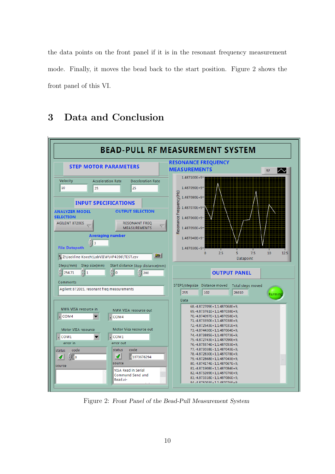the data points on the front panel if it is in the resonant frequency measurement mode. Finally, it moves the bead back to the start position. Figure 2 shows the front panel of this VI.

# 3 Data and Conclusion



Figure 2: Front Panel of the Bead-Pull Measurement System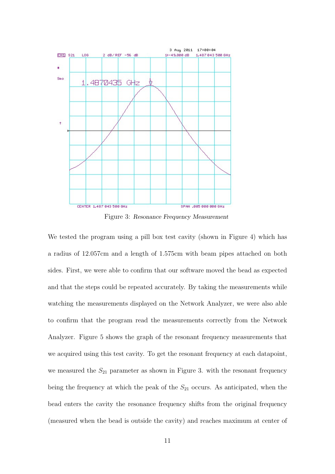

Figure 3: Resonance Frequency Measurement

We tested the program using a pill box test cavity (shown in Figure 4) which has a radius of 12.057cm and a length of 1.575cm with beam pipes attached on both sides. First, we were able to confirm that our software moved the bead as expected and that the steps could be repeated accurately. By taking the measurements while watching the measurements displayed on the Network Analyzer, we were also able to confirm that the program read the measurements correctly from the Network Analyzer. Figure 5 shows the graph of the resonant frequency measurements that we acquired using this test cavity. To get the resonant frequency at each datapoint, we measured the  $S_{21}$  parameter as shown in Figure 3. with the resonant frequency being the frequency at which the peak of the  $S_{21}$  occurs. As anticipated, when the bead enters the cavity the resonance frequency shifts from the original frequency (measured when the bead is outside the cavity) and reaches maximum at center of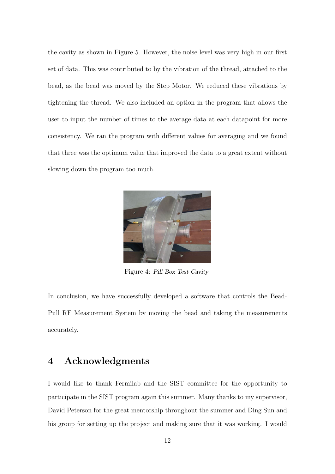the cavity as shown in Figure 5. However, the noise level was very high in our first set of data. This was contributed to by the vibration of the thread, attached to the bead, as the bead was moved by the Step Motor. We reduced these vibrations by tightening the thread. We also included an option in the program that allows the user to input the number of times to the average data at each datapoint for more consistency. We ran the program with different values for averaging and we found that three was the optimum value that improved the data to a great extent without slowing down the program too much.



Figure 4: Pill Box Test Cavity

In conclusion, we have successfully developed a software that controls the Bead-Pull RF Measurement System by moving the bead and taking the measurements accurately.

## 4 Acknowledgments

I would like to thank Fermilab and the SIST committee for the opportunity to participate in the SIST program again this summer. Many thanks to my supervisor, David Peterson for the great mentorship throughout the summer and Ding Sun and his group for setting up the project and making sure that it was working. I would